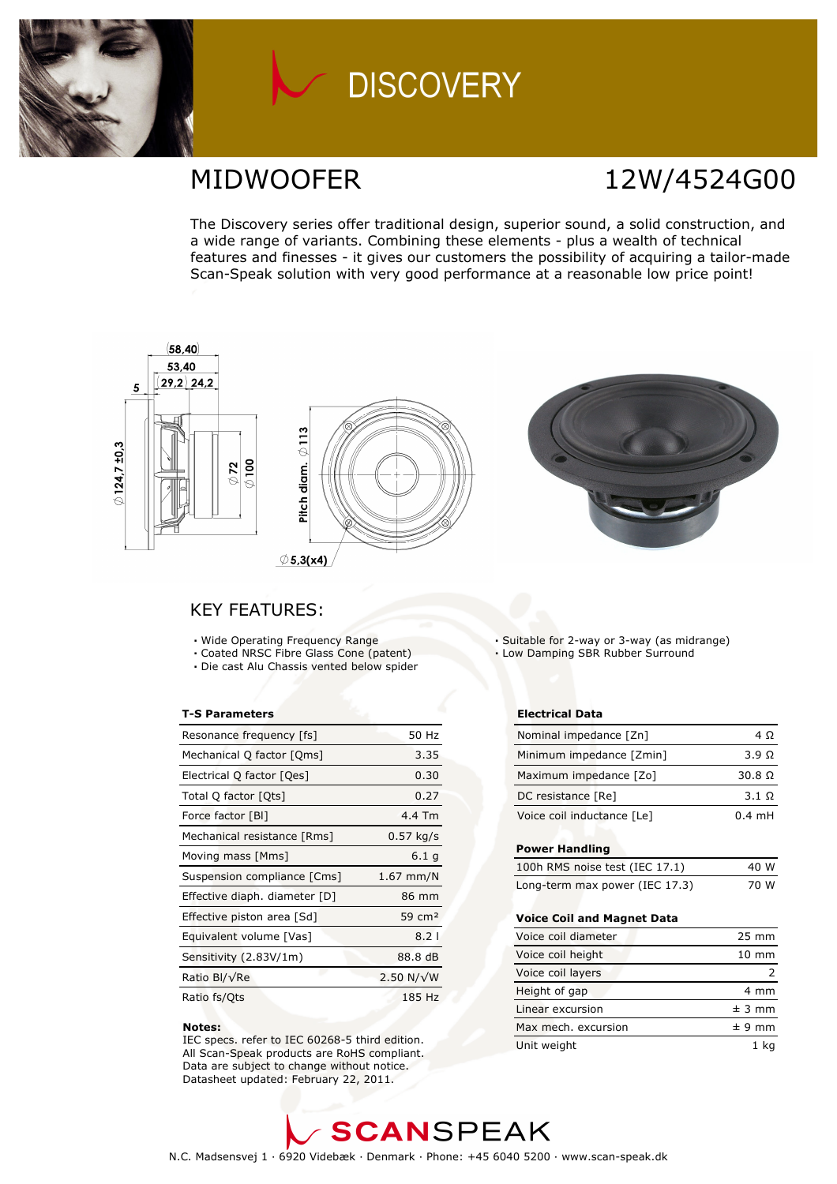

### **DISCOVERY**

### MIDWOOFER 12W/4524G00

The Discovery series offer traditional design, superior sound, a solid construction, and a wide range of variants. Combining these elements - plus a wealth of technical features and finesses - it gives our customers the possibility of acquiring a tailor-made Scan-Speak solution with very good performance at a reasonable low price point!



### KEY FEATURES:

- Wide Operating Frequency Range
- Coated NRSC Fibre Glass Cone (patent)
- Die cast Alu Chassis vented below spider

### T-S Parameters

| Resonance frequency [fs]      | 50 Hz              |
|-------------------------------|--------------------|
| Mechanical Q factor [Qms]     | 3.35               |
| Electrical Q factor [Qes]     | 0.30               |
| Total Q factor [Ots]          | 0.27               |
| Force factor [BI]             | 4.4 Tm             |
| Mechanical resistance [Rms]   | $0.57$ kg/s        |
| Moving mass [Mms]             | 6.1 <sub>q</sub>   |
| Suspension compliance [Cms]   | $1.67$ mm/N        |
| Effective diaph. diameter [D] | 86 mm              |
| Effective piston area [Sd]    | $59 \text{ cm}^2$  |
| Equivalent volume [Vas]       | 8.2 <sub>1</sub>   |
| Sensitivity (2.83V/1m)        | 88.8 dB            |
| Ratio Bl/√Re                  | 2.50 N/ $\sqrt{W}$ |
| Ratio fs/Qts                  | 185 Hz             |

### Notes:

 IEC specs. refer to IEC 60268-5 third edition. All Scan-Speak products are RoHS compliant. Data are subject to change without notice. Datasheet updated: February 22, 2011.

- Suitable for 2-way or 3-way (as midrange)
- Low Damping SBR Rubber Surround

### Electrical Data

| Nominal impedance [Zn]     | 4 O              |
|----------------------------|------------------|
| Minimum impedance [Zmin]   | $3.9 \Omega$     |
| Maximum impedance [Zo]     | $30.8 \Omega$    |
| DC resistance [Re]         | $3.1 \Omega$     |
| Voice coil inductance [Le] | $0.4 \text{ mH}$ |

#### Power Handling

| 100h RMS noise test (IEC 17.1) | 40 W |
|--------------------------------|------|
| Long-term max power (IEC 17.3) | 70 W |

### Voice Coil and Magnet Data

| Voice coil diameter | $25 \text{ mm}$ |
|---------------------|-----------------|
| Voice coil height   | $10 \text{ mm}$ |
| Voice coil layers   |                 |
| Height of gap       | 4 mm            |
| Linear excursion    | ± 3 mm          |
| Max mech, excursion | $± 9$ mm        |
| Unit weight         |                 |